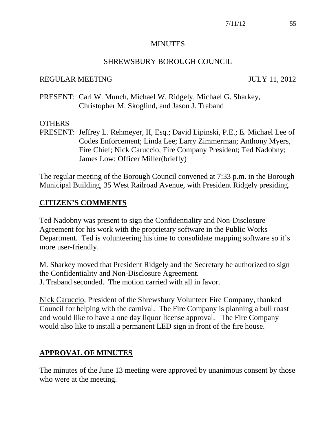#### MINUTES

#### SHREWSBURY BOROUGH COUNCIL

#### REGULAR MEETING JULY 11, 2012

PRESENT: Carl W. Munch, Michael W. Ridgely, Michael G. Sharkey, Christopher M. Skoglind, and Jason J. Traband

#### **OTHERS**

PRESENT: Jeffrey L. Rehmeyer, II, Esq.; David Lipinski, P.E.; E. Michael Lee of Codes Enforcement; Linda Lee; Larry Zimmerman; Anthony Myers, Fire Chief; Nick Caruccio, Fire Company President; Ted Nadobny; James Low; Officer Miller(briefly)

The regular meeting of the Borough Council convened at 7:33 p.m. in the Borough Municipal Building, 35 West Railroad Avenue, with President Ridgely presiding.

## **CITIZEN'S COMMENTS**

Ted Nadobny was present to sign the Confidentiality and Non-Disclosure Agreement for his work with the proprietary software in the Public Works Department. Ted is volunteering his time to consolidate mapping software so it's more user-friendly.

M. Sharkey moved that President Ridgely and the Secretary be authorized to sign the Confidentiality and Non-Disclosure Agreement. J. Traband seconded. The motion carried with all in favor.

Nick Caruccio, President of the Shrewsbury Volunteer Fire Company, thanked Council for helping with the carnival. The Fire Company is planning a bull roast and would like to have a one day liquor license approval. The Fire Company would also like to install a permanent LED sign in front of the fire house.

## **APPROVAL OF MINUTES**

The minutes of the June 13 meeting were approved by unanimous consent by those who were at the meeting.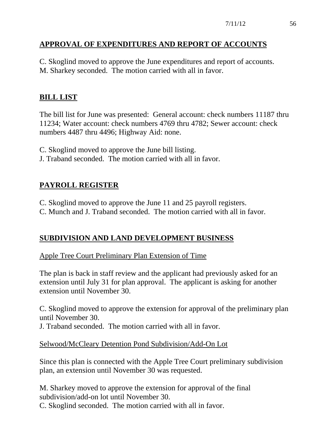# **APPROVAL OF EXPENDITURES AND REPORT OF ACCOUNTS**

C. Skoglind moved to approve the June expenditures and report of accounts. M. Sharkey seconded. The motion carried with all in favor.

# **BILL LIST**

The bill list for June was presented: General account: check numbers 11187 thru 11234; Water account: check numbers 4769 thru 4782; Sewer account: check numbers 4487 thru 4496; Highway Aid: none.

- C. Skoglind moved to approve the June bill listing.
- J. Traband seconded. The motion carried with all in favor.

# **PAYROLL REGISTER**

- C. Skoglind moved to approve the June 11 and 25 payroll registers.
- C. Munch and J. Traband seconded. The motion carried with all in favor.

# **SUBDIVISION AND LAND DEVELOPMENT BUSINESS**

# Apple Tree Court Preliminary Plan Extension of Time

The plan is back in staff review and the applicant had previously asked for an extension until July 31 for plan approval. The applicant is asking for another extension until November 30.

C. Skoglind moved to approve the extension for approval of the preliminary plan until November 30.

J. Traband seconded. The motion carried with all in favor.

## Selwood/McCleary Detention Pond Subdivision/Add-On Lot

Since this plan is connected with the Apple Tree Court preliminary subdivision plan, an extension until November 30 was requested.

M. Sharkey moved to approve the extension for approval of the final subdivision/add-on lot until November 30. C. Skoglind seconded. The motion carried with all in favor.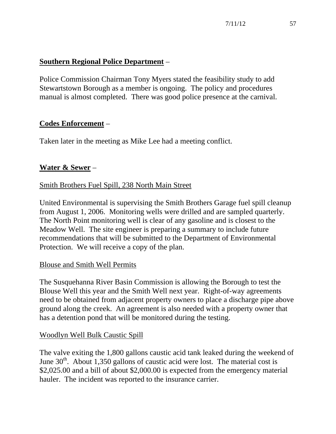# **Southern Regional Police Department** –

Police Commission Chairman Tony Myers stated the feasibility study to add Stewartstown Borough as a member is ongoing. The policy and procedures manual is almost completed. There was good police presence at the carnival.

# **Codes Enforcement** –

Taken later in the meeting as Mike Lee had a meeting conflict.

# **Water & Sewer** –

## Smith Brothers Fuel Spill, 238 North Main Street

United Environmental is supervising the Smith Brothers Garage fuel spill cleanup from August 1, 2006. Monitoring wells were drilled and are sampled quarterly. The North Point monitoring well is clear of any gasoline and is closest to the Meadow Well. The site engineer is preparing a summary to include future recommendations that will be submitted to the Department of Environmental Protection. We will receive a copy of the plan.

## Blouse and Smith Well Permits

The Susquehanna River Basin Commission is allowing the Borough to test the Blouse Well this year and the Smith Well next year. Right-of-way agreements need to be obtained from adjacent property owners to place a discharge pipe above ground along the creek. An agreement is also needed with a property owner that has a detention pond that will be monitored during the testing.

## Woodlyn Well Bulk Caustic Spill

The valve exiting the 1,800 gallons caustic acid tank leaked during the weekend of June  $30<sup>th</sup>$ . About 1,350 gallons of caustic acid were lost. The material cost is \$2,025.00 and a bill of about \$2,000.00 is expected from the emergency material hauler. The incident was reported to the insurance carrier.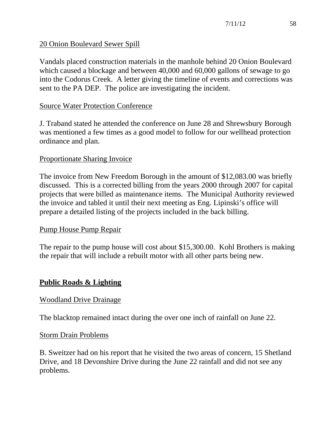## 20 Onion Boulevard Sewer Spill

Vandals placed construction materials in the manhole behind 20 Onion Boulevard which caused a blockage and between 40,000 and 60,000 gallons of sewage to go into the Codorus Creek. A letter giving the timeline of events and corrections was sent to the PA DEP. The police are investigating the incident.

#### Source Water Protection Conference

J. Traband stated he attended the conference on June 28 and Shrewsbury Borough was mentioned a few times as a good model to follow for our wellhead protection ordinance and plan.

#### Proportionate Sharing Invoice

The invoice from New Freedom Borough in the amount of \$12,083.00 was briefly discussed. This is a corrected billing from the years 2000 through 2007 for capital projects that were billed as maintenance items. The Municipal Authority reviewed the invoice and tabled it until their next meeting as Eng. Lipinski's office will prepare a detailed listing of the projects included in the back billing.

#### Pump House Pump Repair

The repair to the pump house will cost about \$15,300.00. Kohl Brothers is making the repair that will include a rebuilt motor with all other parts being new.

## **Public Roads & Lighting**

#### Woodland Drive Drainage

The blacktop remained intact during the over one inch of rainfall on June 22.

#### Storm Drain Problems

B. Sweitzer had on his report that he visited the two areas of concern, 15 Shetland Drive, and 18 Devonshire Drive during the June 22 rainfall and did not see any problems.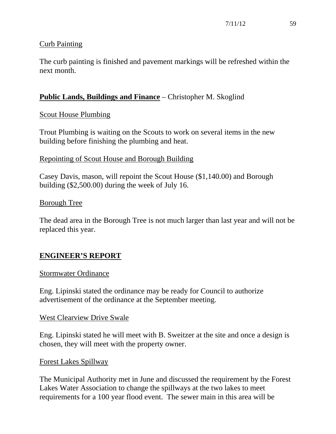# Curb Painting

The curb painting is finished and pavement markings will be refreshed within the next month.

# **Public Lands, Buildings and Finance** – Christopher M. Skoglind

## Scout House Plumbing

Trout Plumbing is waiting on the Scouts to work on several items in the new building before finishing the plumbing and heat.

#### Repointing of Scout House and Borough Building

Casey Davis, mason, will repoint the Scout House (\$1,140.00) and Borough building (\$2,500.00) during the week of July 16.

## Borough Tree

The dead area in the Borough Tree is not much larger than last year and will not be replaced this year.

# **ENGINEER'S REPORT**

#### Stormwater Ordinance

Eng. Lipinski stated the ordinance may be ready for Council to authorize advertisement of the ordinance at the September meeting.

#### West Clearview Drive Swale

Eng. Lipinski stated he will meet with B. Sweitzer at the site and once a design is chosen, they will meet with the property owner.

#### Forest Lakes Spillway

The Municipal Authority met in June and discussed the requirement by the Forest Lakes Water Association to change the spillways at the two lakes to meet requirements for a 100 year flood event. The sewer main in this area will be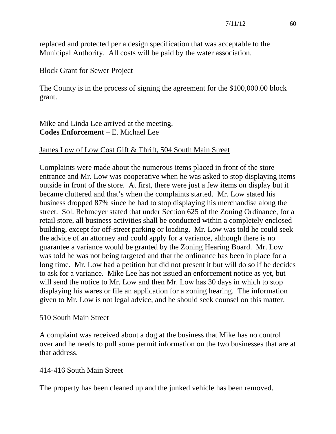replaced and protected per a design specification that was acceptable to the Municipal Authority. All costs will be paid by the water association.

#### Block Grant for Sewer Project

The County is in the process of signing the agreement for the \$100,000.00 block grant.

Mike and Linda Lee arrived at the meeting. **Codes Enforcement** – E. Michael Lee

## James Low of Low Cost Gift & Thrift, 504 South Main Street

Complaints were made about the numerous items placed in front of the store entrance and Mr. Low was cooperative when he was asked to stop displaying items outside in front of the store. At first, there were just a few items on display but it became cluttered and that's when the complaints started. Mr. Low stated his business dropped 87% since he had to stop displaying his merchandise along the street. Sol. Rehmeyer stated that under Section 625 of the Zoning Ordinance, for a retail store, all business activities shall be conducted within a completely enclosed building, except for off-street parking or loading. Mr. Low was told he could seek the advice of an attorney and could apply for a variance, although there is no guarantee a variance would be granted by the Zoning Hearing Board. Mr. Low was told he was not being targeted and that the ordinance has been in place for a long time. Mr. Low had a petition but did not present it but will do so if he decides to ask for a variance. Mike Lee has not issued an enforcement notice as yet, but will send the notice to Mr. Low and then Mr. Low has 30 days in which to stop displaying his wares or file an application for a zoning hearing. The information given to Mr. Low is not legal advice, and he should seek counsel on this matter.

#### 510 South Main Street

A complaint was received about a dog at the business that Mike has no control over and he needs to pull some permit information on the two businesses that are at that address.

## 414-416 South Main Street

The property has been cleaned up and the junked vehicle has been removed.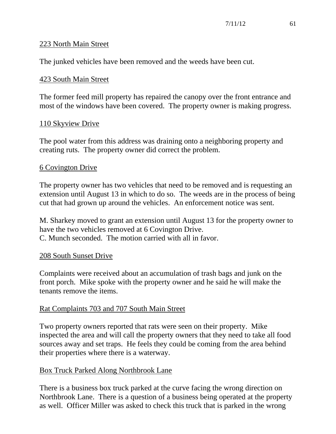## 223 North Main Street

The junked vehicles have been removed and the weeds have been cut.

## 423 South Main Street

The former feed mill property has repaired the canopy over the front entrance and most of the windows have been covered. The property owner is making progress.

# 110 Skyview Drive

The pool water from this address was draining onto a neighboring property and creating ruts. The property owner did correct the problem.

## 6 Covington Drive

The property owner has two vehicles that need to be removed and is requesting an extension until August 13 in which to do so. The weeds are in the process of being cut that had grown up around the vehicles. An enforcement notice was sent.

M. Sharkey moved to grant an extension until August 13 for the property owner to have the two vehicles removed at 6 Covington Drive. C. Munch seconded. The motion carried with all in favor.

## 208 South Sunset Drive

Complaints were received about an accumulation of trash bags and junk on the front porch. Mike spoke with the property owner and he said he will make the tenants remove the items.

## Rat Complaints 703 and 707 South Main Street

Two property owners reported that rats were seen on their property. Mike inspected the area and will call the property owners that they need to take all food sources away and set traps. He feels they could be coming from the area behind their properties where there is a waterway.

## Box Truck Parked Along Northbrook Lane

There is a business box truck parked at the curve facing the wrong direction on Northbrook Lane. There is a question of a business being operated at the property as well. Officer Miller was asked to check this truck that is parked in the wrong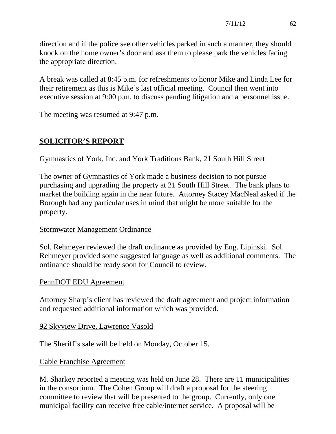direction and if the police see other vehicles parked in such a manner, they should knock on the home owner's door and ask them to please park the vehicles facing the appropriate direction.

A break was called at 8:45 p.m. for refreshments to honor Mike and Linda Lee for their retirement as this is Mike's last official meeting. Council then went into executive session at 9:00 p.m. to discuss pending litigation and a personnel issue.

The meeting was resumed at 9:47 p.m.

# **SOLICITOR'S REPORT**

# Gymnastics of York, Inc. and York Traditions Bank, 21 South Hill Street

The owner of Gymnastics of York made a business decision to not pursue purchasing and upgrading the property at 21 South Hill Street. The bank plans to market the building again in the near future. Attorney Stacey MacNeal asked if the Borough had any particular uses in mind that might be more suitable for the property.

## Stormwater Management Ordinance

Sol. Rehmeyer reviewed the draft ordinance as provided by Eng. Lipinski. Sol. Rehmeyer provided some suggested language as well as additional comments. The ordinance should be ready soon for Council to review.

## PennDOT EDU Agreement

Attorney Sharp's client has reviewed the draft agreement and project information and requested additional information which was provided.

## 92 Skyview Drive, Lawrence Vasold

The Sheriff's sale will be held on Monday, October 15.

## Cable Franchise Agreement

M. Sharkey reported a meeting was held on June 28. There are 11 municipalities in the consortium. The Cohen Group will draft a proposal for the steering committee to review that will be presented to the group. Currently, only one municipal facility can receive free cable/internet service. A proposal will be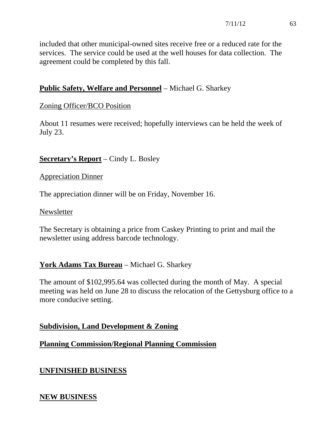included that other municipal-owned sites receive free or a reduced rate for the services. The service could be used at the well houses for data collection. The agreement could be completed by this fall.

# **Public Safety, Welfare and Personnel** – Michael G. Sharkey

# Zoning Officer/BCO Position

About 11 resumes were received; hopefully interviews can be held the week of July 23.

# **Secretary's Report** – Cindy L. Bosley

#### Appreciation Dinner

The appreciation dinner will be on Friday, November 16.

#### Newsletter

The Secretary is obtaining a price from Caskey Printing to print and mail the newsletter using address barcode technology.

# **York Adams Tax Bureau** – Michael G. Sharkey

The amount of \$102,995.64 was collected during the month of May. A special meeting was held on June 28 to discuss the relocation of the Gettysburg office to a more conducive setting.

## **Subdivision, Land Development & Zoning**

## **Planning Commission/Regional Planning Commission**

# **UNFINISHED BUSINESS**

## **NEW BUSINESS**